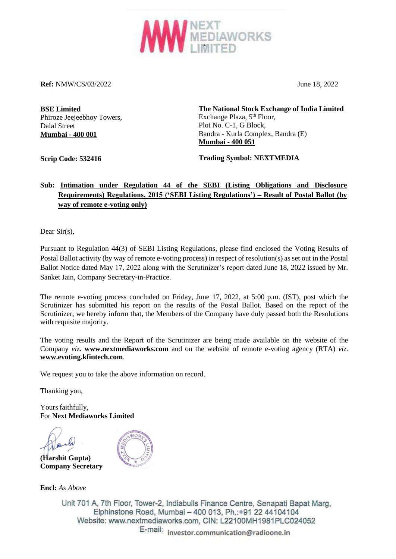

**Ref:** NMW/CS/03/2022 June 18, 2022

**BSE Limited** Phiroze Jeejeebhoy Towers, Dalal Street **Mumbai - 400 001**

**The National Stock Exchange of India Limited** Exchange Plaza, 5<sup>th</sup> Floor, Plot No. C-1, G Block, Bandra - Kurla Complex, Bandra (E) **Mumbai - 400 051**

**Scrip Code: 532416**

**Trading Symbol: NEXTMEDIA**

## **Sub: Intimation under Regulation 44 of the SEBI (Listing Obligations and Disclosure Requirements) Regulations, 2015 ('SEBI Listing Regulations') – Result of Postal Ballot (by way of remote e-voting only)**

Dear Sir(s),

Pursuant to Regulation 44(3) of SEBI Listing Regulations, please find enclosed the Voting Results of Postal Ballot activity (by way of remote e-voting process) in respect of resolution(s) as set out in the Postal Ballot Notice dated May 17, 2022 along with the Scrutinizer's report dated June 18, 2022 issued by Mr. Sanket Jain, Company Secretary-in-Practice.

The remote e-voting process concluded on Friday, June 17, 2022, at 5:00 p.m. (IST), post which the Scrutinizer has submitted his report on the results of the Postal Ballot. Based on the report of the Scrutinizer, we hereby inform that, the Members of the Company have duly passed both the Resolutions with requisite majority.

The voting results and the Report of the Scrutinizer are being made available on the website of the Company *viz.* **www.nextmediaworks.com** and on the website of remote e-voting agency (RTA) *viz.*  **www.evoting.kfintech.com**.

We request you to take the above information on record.

Thanking you,

Yours faithfully, For **Next Mediaworks Limited**

**(Harshit Gupta) Company Secretary**



**Encl:** *As Above*

Unit 701 A, 7th Floor, Tower-2, lndiabulls Finance Centre, Senapati Bapat Marg, Elphinstone Road, Mumbai - 400 013, Ph.:+91 22 44104104 Website: www.nextmediaworks.com, CIN: L22100MH1981PLC024052

E-mail: **investor.communication@radioonc.in**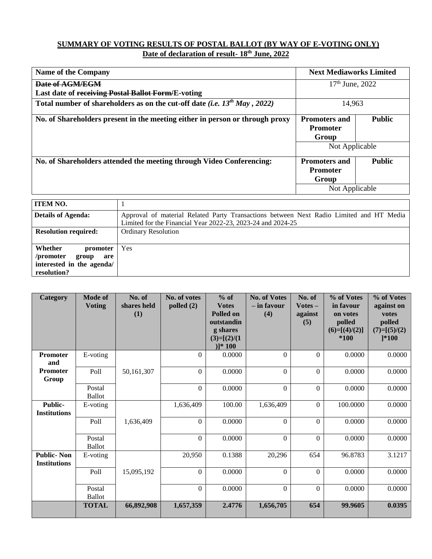### **SUMMARY OF VOTING RESULTS OF POSTAL BALLOT (BY WAY OF E-VOTING ONLY) Date of declaration of result- 18th June, 2022**

| <b>Name of the Company</b>                                                     |                                                                                         | <b>Next Mediaworks Limited</b> |               |  |  |  |  |
|--------------------------------------------------------------------------------|-----------------------------------------------------------------------------------------|--------------------------------|---------------|--|--|--|--|
| Date of AGM/EGM                                                                |                                                                                         | $17th$ June, 2022              |               |  |  |  |  |
| Last date of receiving Postal Ballot Form/E-voting                             |                                                                                         |                                |               |  |  |  |  |
| Total number of shareholders as on the cut-off date (i.e. $13^{th}$ May, 2022) | 14,963                                                                                  |                                |               |  |  |  |  |
|                                                                                | No. of Shareholders present in the meeting either in person or through proxy            | <b>Promoters and</b>           | <b>Public</b> |  |  |  |  |
|                                                                                |                                                                                         | <b>Promoter</b>                |               |  |  |  |  |
|                                                                                | Group                                                                                   |                                |               |  |  |  |  |
|                                                                                |                                                                                         | Not Applicable                 |               |  |  |  |  |
|                                                                                | No. of Shareholders attended the meeting through Video Conferencing:                    | <b>Promoters and</b>           | <b>Public</b> |  |  |  |  |
|                                                                                |                                                                                         | <b>Promoter</b>                |               |  |  |  |  |
|                                                                                |                                                                                         | Group                          |               |  |  |  |  |
|                                                                                |                                                                                         | Not Applicable                 |               |  |  |  |  |
| <b>ITEM NO.</b>                                                                |                                                                                         |                                |               |  |  |  |  |
| <b>Details of Agenda:</b>                                                      | Approval of material Related Party Transactions between Next Radio Limited and HT Media |                                |               |  |  |  |  |
|                                                                                | Limited for the Financial Year 2022-23, 2023-24 and 2024-25                             |                                |               |  |  |  |  |
| <b>Resolution required:</b>                                                    | <b>Ordinary Resolution</b>                                                              |                                |               |  |  |  |  |
| Whether<br>promoter                                                            | Yes                                                                                     |                                |               |  |  |  |  |

**/promoter group are** 

| interested in the agenda/<br>resolution? |                                 |                              |                              |                                                                                                    |                                             |                                       |                                                                          |                                                                            |
|------------------------------------------|---------------------------------|------------------------------|------------------------------|----------------------------------------------------------------------------------------------------|---------------------------------------------|---------------------------------------|--------------------------------------------------------------------------|----------------------------------------------------------------------------|
|                                          |                                 |                              |                              |                                                                                                    |                                             |                                       |                                                                          |                                                                            |
| Category                                 | <b>Mode of</b><br><b>Voting</b> | No. of<br>shares held<br>(1) | No. of votes<br>polled $(2)$ | $%$ of<br><b>Votes</b><br><b>Polled on</b><br>outstandin<br>g shares<br>$(3)=[(2)/(1)$<br>$)1*100$ | <b>No. of Votes</b><br>$-$ in favour<br>(4) | No. of<br>$Votes -$<br>against<br>(5) | % of Votes<br>in favour<br>on votes<br>polled<br>$(6)=[(4)/(2)]$<br>*100 | % of Votes<br>against on<br>votes<br>polled<br>$(7)=[(5)/(2)$<br>$] * 100$ |
| <b>Promoter</b><br>and                   | E-voting                        |                              | $\theta$                     | 0.0000                                                                                             | $\theta$                                    | $\Omega$                              | 0.0000                                                                   | 0.0000                                                                     |
| <b>Promoter</b><br>Group                 | Poll                            | 50,161,307                   | $\theta$                     | 0.0000                                                                                             | $\theta$                                    | $\Omega$                              | 0.0000                                                                   | 0.0000                                                                     |
|                                          | Postal<br><b>Ballot</b>         |                              | $\theta$                     | 0.0000                                                                                             | $\theta$                                    | $\Omega$                              | 0.0000                                                                   | 0.0000                                                                     |
| Public-<br><b>Institutions</b>           | E-voting                        |                              | 1,636,409                    | 100.00                                                                                             | 1,636,409                                   | $\theta$                              | 100.0000                                                                 | 0.0000                                                                     |
|                                          | Poll                            | 1,636,409                    | $\boldsymbol{0}$             | 0.0000                                                                                             | $\boldsymbol{0}$                            | $\Omega$                              | 0.0000                                                                   | 0.0000                                                                     |
|                                          | Postal<br><b>Ballot</b>         |                              | $\boldsymbol{0}$             | 0.0000                                                                                             | $\boldsymbol{0}$                            | $\mathbf{0}$                          | 0.0000                                                                   | 0.0000                                                                     |
| <b>Public-Non</b><br><b>Institutions</b> | E-voting                        |                              | 20,950                       | 0.1388                                                                                             | 20,296                                      | 654                                   | 96.8783                                                                  | 3.1217                                                                     |
|                                          | Poll                            | 15,095,192                   | $\boldsymbol{0}$             | 0.0000                                                                                             | $\overline{0}$                              | $\Omega$                              | 0.0000                                                                   | 0.0000                                                                     |
|                                          | Postal<br><b>Ballot</b>         |                              | $\mathbf{0}$                 | 0.0000                                                                                             | $\theta$                                    | $\Omega$                              | 0.0000                                                                   | 0.0000                                                                     |
|                                          | <b>TOTAL</b>                    | 66,892,908                   | 1,657,359                    | 2.4776                                                                                             | 1,656,705                                   | 654                                   | 99.9605                                                                  | 0.0395                                                                     |

**TOTAL 66,892,908 1,657,359 2.4776 1,656,705 654 99.9605 0.0395**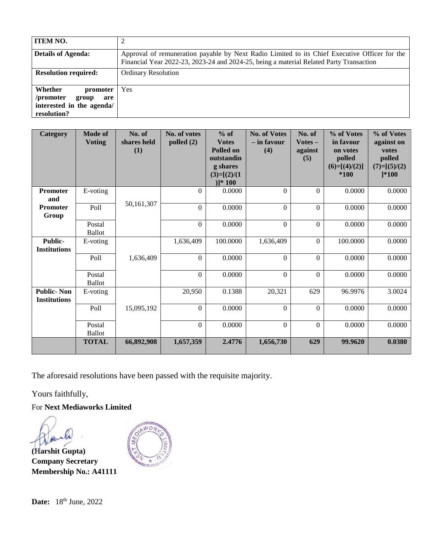| <b>ITEM NO.</b>                                                                              |                                                                                                                                                                                          |
|----------------------------------------------------------------------------------------------|------------------------------------------------------------------------------------------------------------------------------------------------------------------------------------------|
| <b>Details of Agenda:</b>                                                                    | Approval of remuneration payable by Next Radio Limited to its Chief Executive Officer for the<br>Financial Year 2022-23, 2023-24 and 2024-25, being a material Related Party Transaction |
| <b>Resolution required:</b>                                                                  | <b>Ordinary Resolution</b>                                                                                                                                                               |
| Whether<br>promoter<br>/promoter<br>group<br>are<br>interested in the agenda/<br>resolution? | <b>Yes</b>                                                                                                                                                                               |

| Category                                 | <b>Mode of</b><br><b>Voting</b> | No. of<br>shares held<br>(1) | No. of votes<br>polled $(2)$ | $%$ of<br><b>Votes</b><br>Polled on<br>outstandin<br>g shares<br>$(3)=[(2)/(1)$<br>$)]*100$ | <b>No. of Votes</b><br>- in favour<br>(4) | No. of<br>$Votes -$<br>against<br>(5) | % of Votes<br>in favour<br>on votes<br>polled<br>$(6)=[(4)/(2)]$<br>$*100$ | % of Votes<br>against on<br>votes<br>polled<br>$(7)=[(5)/(2)$<br>$] * 100$ |
|------------------------------------------|---------------------------------|------------------------------|------------------------------|---------------------------------------------------------------------------------------------|-------------------------------------------|---------------------------------------|----------------------------------------------------------------------------|----------------------------------------------------------------------------|
| Promoter<br>and                          | E-voting                        |                              | $\Omega$                     | 0.0000                                                                                      | $\boldsymbol{0}$                          | $\Omega$                              | 0.0000                                                                     | 0.0000                                                                     |
| <b>Promoter</b><br>Group                 | Poll                            | 50,161,307                   | $\Omega$                     | 0.0000                                                                                      | $\Omega$                                  | $\Omega$                              | 0.0000                                                                     | 0.0000                                                                     |
|                                          | Postal<br><b>Ballot</b>         |                              | $\boldsymbol{0}$             | 0.0000                                                                                      | $\boldsymbol{0}$                          | $\mathbf{0}$                          | 0.0000                                                                     | 0.0000                                                                     |
| Public-<br><b>Institutions</b>           | E-voting                        |                              | 1,636,409                    | 100.0000                                                                                    | 1,636,409                                 | $\boldsymbol{0}$                      | 100.0000                                                                   | 0.0000                                                                     |
|                                          | Poll                            | 1,636,409                    | $\boldsymbol{0}$             | 0.0000                                                                                      | $\Omega$                                  | $\theta$                              | 0.0000                                                                     | 0.0000                                                                     |
|                                          | Postal<br><b>Ballot</b>         |                              | $\Omega$                     | 0.0000                                                                                      | $\boldsymbol{0}$                          | $\boldsymbol{0}$                      | 0.0000                                                                     | 0.0000                                                                     |
| <b>Public-Non</b><br><b>Institutions</b> | E-voting                        |                              | 20,950                       | 0.1388                                                                                      | 20,321                                    | 629                                   | 96.9976                                                                    | 3.0024                                                                     |
|                                          | Poll                            | 15,095,192                   | $\Omega$                     | 0.0000                                                                                      | $\Omega$                                  | $\Omega$                              | 0.0000                                                                     | 0.0000                                                                     |
|                                          | Postal<br><b>Ballot</b>         |                              | $\boldsymbol{0}$             | 0.0000                                                                                      | $\boldsymbol{0}$                          | $\Omega$                              | 0.0000                                                                     | 0.0000                                                                     |
|                                          | <b>TOTAL</b>                    | 66,892,908                   | 1,657,359                    | 2.4776                                                                                      | 1,656,730                                 | 629                                   | 99.9620                                                                    | 0.0380                                                                     |

The aforesaid resolutions have been passed with the requisite majority.

Yours faithfully,

For **Next Mediaworks Limited**

 $\triangleright$ 

**(Harshit Gupta) Company Secretary Membership No.: A41111**



**Date:** 18<sup>th</sup> June, 2022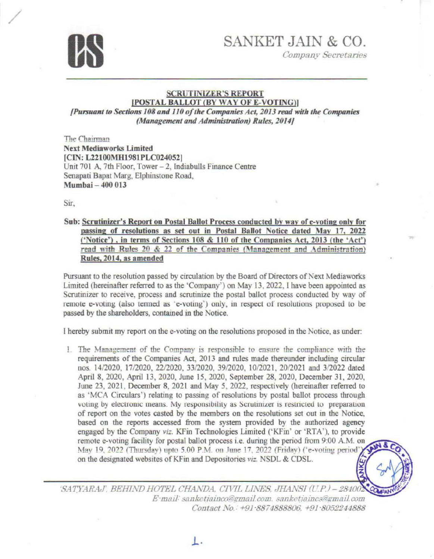

**Company Secretaries** 

### **SCRUTINIZER'S REPORT** [POSTAL BALLOT (BY WAY OF E-VOTING)]

[Pursuant to Sections 108 and 110 of the Companies Act, 2013 read with the Companies (Management and Administration) Rules, 2014)

The Chairman **Next Mediaworks Limited** [CIN: L22100MH1981PLC024052] Unit 701 A, 7th Floor, Tower - 2, Indiabulls Finance Centre Senapati Bapat Marg, Elphinstone Road, Mumbai - 400 013

Sir.

Sub: Scrutinizer's Report on Postal Ballot Process conducted by way of e-voting only for passing of resolutions as set out in Postal Ballot Notice dated May 17, 2022 ('Notice'), in terms of Sections 108 & 110 of the Companies Act, 2013 (the 'Act') read with Rules 20 & 22 of the Companies (Management and Administration) Rules, 2014, as amended

Pursuant to the resolution passed by circulation by the Board of Directors of Next Mediaworks Limited (hereinafter referred to as the 'Company') on May 13, 2022. I have been appointed as Scrutinizer to receive, process and scrutinize the postal ballot process conducted by way of remote e-voting (also termed as 'e-voting') only, in respect of resolutions proposed to be passed by the shareholders, contained in the Notice.

I hereby submit my report on the e-voting on the resolutions proposed in the Notice, as under:

1. The Management of the Company is responsible to ensure the compliance with the requirements of the Companies Act, 2013 and rules made thereunder including circular nos. 14/2020, 17/2020, 22/2020, 33/2020, 39/2020, 10/2021, 20/2021 and 3/2022 dated April 8, 2020, April 13, 2020, June 15, 2020, September 28, 2020, December 31, 2020, June 23, 2021, December 8, 2021 and May 5, 2022, respectively (hereinafter referred to as 'MCA Circulars') relating to passing of resolutions by postal ballot process through voting by electronic means. My responsibility as Scrutinizer is restricted to preparation of report on the votes casted by the members on the resolutions set out in the Notice, based on the reports accessed from the system provided by the authorized agency engaged by the Company viz. KFin Technologies Limited ('KFin' or 'RTA'), to provide remote e-voting facility for postal ballot process i.e. during the period from 9:00 A.M. on May 19, 2022 (Thursday) upto 5.00 P.M. on June 17, 2022 (Friday) ('e-voting period') on the designated websites of KFin and Depositories viz. NSDL & CDSL. **ANKE** 

'SATYARAJ', BEHIND HOTEL CHANDA, CIVIL LINES, JHANSI (U.P.) - 28400. E-mail: sanketiainco@gmail.com. sanketiaincs@gmail.com Contact No.: +91-8874888806, +91-8052244888

L.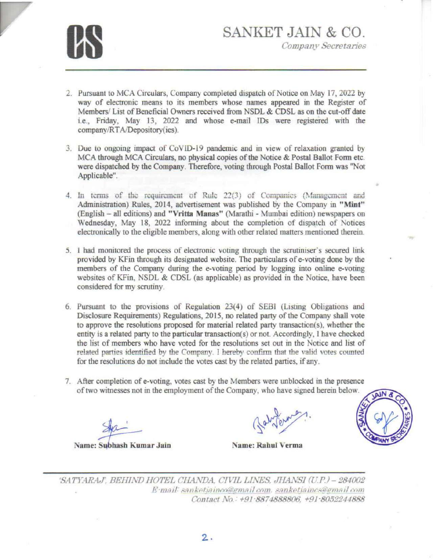

- 2. Pursuant to MCA Circulars, Company completed dispatch of Notice on May 17, 2022 by way of electronic means to its members whose names appeared in the Register of Members/ List of Beneficial Owners received from NSDL & CDSL as on the cut-off date i.e., Friday, May 13, 2022 and whose e-mail IDs were registered with the company/RT A/Depository(ies ).
- 3. Due to ongoing impact of CoVID-19 pandemic and in view of relaxation granted by MCA through MCA Circulars, no physical copies of the Notice & Postal Ballot Form etc. were dispatched by the Company. Therefore, voting through Postal Ballot Form was "Not Applicable".
- 4. In terms of the requirement of Rule 22(3) of Companies (Management and Administration) Rules 2014 advertisement was published by the Company in **"Mint"**  (English - all editions) and **"Vritta Manas"** (Marathi - Mmnbai edition) newspapers on Wednesday, May 18, 2022 informing about the completion of dispatch of Notices electronical]y to the eligible members along with other related matters mentioned therein.
- 5. I had monitored the process of electronic voting through the scrutiniser's secured link provided by Kfio through its designated website. The particulars of e-voting done by the members of the Company during the e-voting period by logging into online e-voting websites of KFin, NSDL & CDSL (as applicable) as provided in the Notice, have been considered for my scrutiny.
- 6. Pursuant to the provisions of Regulation  $23(4)$  of SEBI (Listing Obligations and Disclosure Requirements) Regulations, 2015, no related party of the Company shall vote to approve the resolutions proposed for material related party transaction(s), whether the entity is a related party *to* the particular transaction(s) or not. Accordingly, I have checked the list of members who have voted for the resolutions set out in the Notice and list of related parties identified by the Company. I hereby confirm that the valid votes counted for the resolutions do not include the votes cast by the related parties, if any.
- 7. After completioa of e- oting votes cast by the Members were unblocked in the presence of two witnesses not in the employment of the Company, who have signed herein below.



'SATYARAJ', BEHIND HOTEL CHANDA, CIVIL LINES, JHANSI (U.P.) - 284002 *E*·mail: sanketjainco@gmail.com. sanketjaincs@gmail.com Contact No.: +91-8874888806, +91-8052244888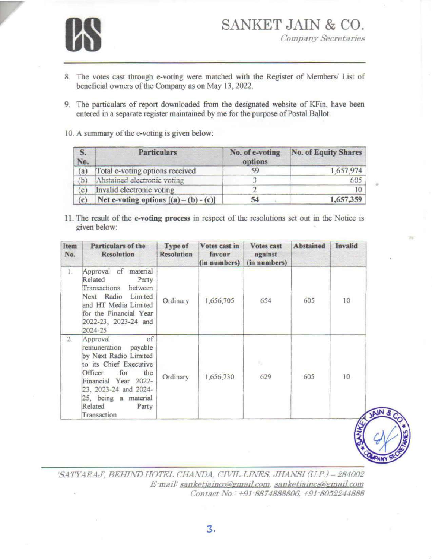

- 8. The votes cast through e-voting were matched with the Register of Members/ List of beneficial owners of the Company as on May 13, 2022.
- 9. The particulars of report downloaded from the designated website of KFin, have been entered in a separate register maintained by me for the purpose of Postal Ballot.
- 10. A summary of the e-voting is given below:

| S.<br>No. | <b>Particulars</b>                       | No. of e-voting<br>options | <b>No. of Equity Shares</b> |
|-----------|------------------------------------------|----------------------------|-----------------------------|
| (a)       | Total e-voting options received          | 59                         | 1,657,974                   |
| (b)       | Abstained electronic voting              |                            | 605                         |
| (c)       | Invalid electronic voting                |                            | 10                          |
| (c)       | Net e-voting options $[(a) - (b) - (c)]$ | 54                         | 1,657,359                   |

11. The result of the e-voting process in respect of the resolutions set out in the Notice is given below:

| Item<br>No. | Particulars of the<br><b>Resolution</b>                                                                                                                                                                                                        | Type of<br><b>Resolution</b> | Votes cast in<br>favour<br>(in numbers) | <b>Votes</b> cast<br>against<br>(in numbers) | <b>Abstained</b> | Invalid |
|-------------|------------------------------------------------------------------------------------------------------------------------------------------------------------------------------------------------------------------------------------------------|------------------------------|-----------------------------------------|----------------------------------------------|------------------|---------|
| 1.          | material<br>Approval of<br>Related<br>Party<br>Transactions<br>between<br>Next Radio<br>Limited<br>and HT Media Limited<br>for the Financial Year<br>2022-23, 2023-24 and<br>2024-25                                                           | Ordinary                     | 1,656,705                               | 654                                          | 605              | 10      |
| 2.          | $\circ$ f<br>Approval<br>payable<br>remuneration<br>by Next Radio Limited<br>to its Chief Executive<br>for<br>Officer<br>the<br>Financial Year<br>$2022 -$<br>23, 2023-24 and 2024-<br>25, being a material<br>Related<br>Party<br>Transaction | Ordinary                     | 1,656,730                               | ч<br>629                                     | 605              | 10      |

'SATYARAJ', BEHIND HOTEL CHANDA, CIVIL LINES, JHANSI (U.P.) - 284002 E-mail: sanketjainco@gmail.com. sanketjaincs@gmail.com Contact No.: +91-8874888806, +91-8052244888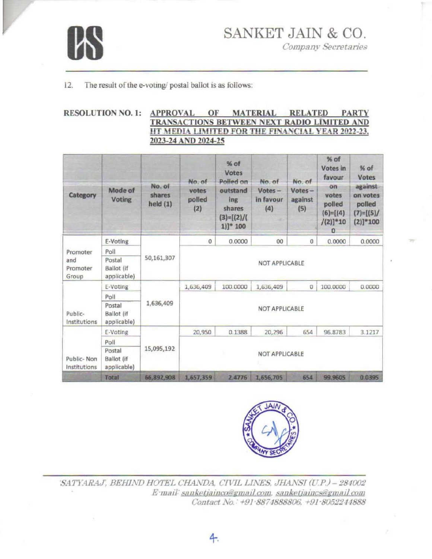

**Company Secretaries** 

#### $12.$ The result of the e-voting/ postal ballot is as follows:

### RESOLUTION NO. 1: APPROVAL OF MATERIAL RELATED PARTY TRANSACTIONS BETWEEN NEXT RADIO LIMITED AND HT MEDIA LIMITED FOR THE FINANCIAL YEAR 2022-23, 2023-24 AND 2024-25

| Category                             | Mode of<br><b>Voting</b>                   | No. of<br>shares<br>held(1) | No. of<br>votes<br>polled<br>(2) | % of<br>Votes<br>Polled on<br>outstand<br>ing<br>shares<br>$(3)=[(2)/($<br>$1$ ]]* 100 | No. of<br>$Votes -$<br>in favour<br>(4) | No. of<br>$Votes -$<br>against<br>(5) | % of<br>Votes in<br>favour<br>on<br>votes<br>polled<br>$(6)=[(4)$<br>$/(2)]^*10$<br>o | % of<br><b>Votes</b><br>against<br>on votes<br>polled<br>$(7)=[(5)/$<br>$(2)]*100$ |
|--------------------------------------|--------------------------------------------|-----------------------------|----------------------------------|----------------------------------------------------------------------------------------|-----------------------------------------|---------------------------------------|---------------------------------------------------------------------------------------|------------------------------------------------------------------------------------|
| Promoter<br>and<br>Promoter<br>Group | E-Voting                                   |                             | $\circ$                          | 0.0000                                                                                 | 00                                      | $\sigma$                              | 0.0000                                                                                | 0.0000                                                                             |
|                                      | Poll                                       |                             |                                  |                                                                                        |                                         |                                       |                                                                                       |                                                                                    |
|                                      | Postal<br><b>Ballot</b> (if<br>applicable) | 50,161,307                  | NOT APPLICABLE                   |                                                                                        |                                         |                                       |                                                                                       |                                                                                    |
|                                      | E-Voting                                   |                             | 1,636,409                        | 100.0000                                                                               | 1,636,409                               | $\sigma$                              | 100,0000                                                                              | 0.0000                                                                             |
|                                      | Poll                                       |                             |                                  |                                                                                        |                                         |                                       |                                                                                       |                                                                                    |
| Public-<br>Institutions              | Postal<br><b>Ballot</b> (if<br>applicable) | 1,636,409                   |                                  |                                                                                        | <b>NOT APPLICABLE</b>                   |                                       |                                                                                       |                                                                                    |
|                                      | E-Voting                                   |                             | 20,950                           | 0.1388                                                                                 | 20,296                                  | 654                                   | 96.8783                                                                               | 3.1217                                                                             |
| Public-Non<br>Institutions           | Poll                                       |                             |                                  |                                                                                        |                                         |                                       |                                                                                       |                                                                                    |
|                                      | Postal<br><b>Ballot</b> (if<br>applicable) | 15,095,192                  | <b>NOT APPLICABLE</b>            |                                                                                        |                                         |                                       |                                                                                       |                                                                                    |
|                                      | Total                                      | 66,892,908                  | 1,657,359                        | 2.4776                                                                                 | 1,656,705                               | 654                                   | 99.9605                                                                               | 0.0395                                                                             |



'SATYARAJ', BEHIND HOTEL CHANDA, CIVIL LINES, JHANSI (U.P.) - 284002 E-mail: sanketjainco@gmail.com. sanketjaincs@gmail.com Contact No.: +91.8874888806, +91.8052244888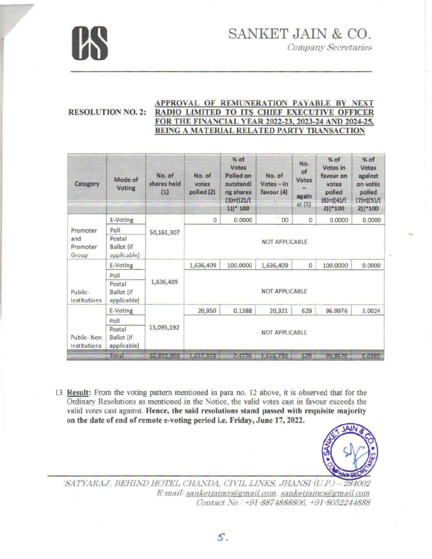

**Company Secretaries** 

### APPROVAL OF REMUNERATION PAYABLE BY NEXT **RESOLUTION NO. 2:** RADIO LIMITED TO ITS CHIEF EXECUTIVE OFFICER FOR THE FINANCIAL YEAR 2022-23, 2023-24 AND 2024-25, BEING A MATERIAL RELATED PARTY TRANSACTION

| Category                   | Mode of<br>Voting                          | No. of<br>shares held<br>(1) | No. of<br>votes<br>polled (2) | $%$ of<br><b>Votes</b><br>Polled on<br>outstandi<br>ng shares<br>$(3)=[(2)/($<br>$1$ )] $*$ 100 | No. of<br>$Votes - in$<br>favour $(4)$ | No.<br>of<br>Votes<br>again<br>st(5) | $%$ of<br>Votes in<br>favour on<br>votes<br>polled<br>$(6) = [(4)$ /<br>$2)]*100$ | $%$ of<br>Votes<br>against<br>on votes<br>polled<br>$(7)=[(5)/($<br>$2)$ ] $*100$ |
|----------------------------|--------------------------------------------|------------------------------|-------------------------------|-------------------------------------------------------------------------------------------------|----------------------------------------|--------------------------------------|-----------------------------------------------------------------------------------|-----------------------------------------------------------------------------------|
|                            | E-Voting                                   | 50,161,307                   | $\circ$                       | 0.0000                                                                                          | ä,<br>00                               | $\circ$                              | 0.0000                                                                            | 0.0000                                                                            |
| Promoter                   | Poll                                       |                              |                               |                                                                                                 |                                        |                                      |                                                                                   |                                                                                   |
| and<br>Promoter<br>Group   | Postal<br><b>Ballot</b> (if<br>applicable) |                              | NOT APPLICABLE                |                                                                                                 |                                        |                                      |                                                                                   |                                                                                   |
|                            | E-Voting                                   |                              | 1,636,409                     | 100,0000                                                                                        | 1,636,409                              | $\mathbf 0$                          | 100,0000                                                                          | 0.0000                                                                            |
|                            | Poll                                       |                              |                               |                                                                                                 |                                        |                                      |                                                                                   |                                                                                   |
| Public-<br>Institutions    | Postal<br>Ballot (if<br>applicable)        | 1,636,409                    |                               |                                                                                                 | NOT APPLICABLE                         |                                      |                                                                                   |                                                                                   |
|                            | E-Voting                                   |                              | 20,950                        | 0.1388                                                                                          | 20,321                                 | 629                                  | 96.9976                                                                           | 3.0024                                                                            |
|                            | Poll                                       |                              |                               |                                                                                                 |                                        |                                      |                                                                                   |                                                                                   |
| Public-Non<br>Institutions | Postal<br>Ballot (if<br>applicable)        | 15,095,192                   |                               |                                                                                                 | <b>NOT APPLICABLE</b>                  |                                      |                                                                                   |                                                                                   |
|                            | Total                                      | 66,992,908                   | 1,657,359                     | 7.4776                                                                                          | 1,656,730                              | 629                                  | 99.9620                                                                           | 0.0380                                                                            |

13. Result: From the voting pattern mentioned in para no. 12 above, it is observed that for the Ordinary Resolutions as mentioned in the Notice, the valid votes cast in favour exceeds the valid votes cast against. Hence, the said resolutions stand passed with requisite majority on the date of end of remote e-voting period i.e. Friday, June 17, 2022.



'SATYARAJ', BEHIND HOTEL CHANDA, CIVIL LINES, JHANSI (U.P.) - $002$ E mail: sanketjainco@gmail.com, sanketjaincs@gmail.com Contact No.: +91-8874888806, +91-8052244888